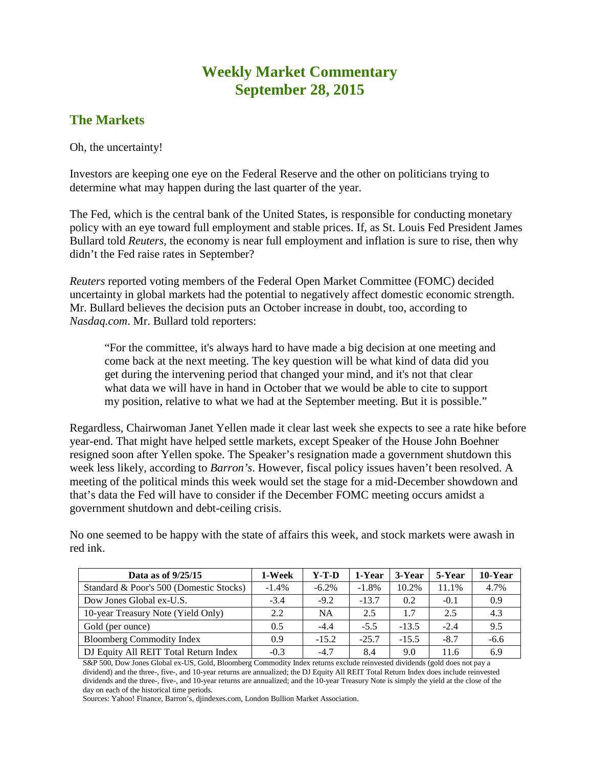## **Weekly Market Commentary September 28, 2015**

## **The Markets**

Oh, the uncertainty!

Investors are keeping one eye on the Federal Reserve and the other on politicians trying to determine what may happen during the last quarter of the year.

The Fed, which is the central bank of the United States, is responsible for conducting monetary policy with an eye toward full employment and stable prices. If, as St. Louis Fed President James Bullard told *Reuters*, the economy is near full employment and inflation is sure to rise, then why didn't the Fed raise rates in September?

*Reuters* reported voting members of the Federal Open Market Committee (FOMC) decided uncertainty in global markets had the potential to negatively affect domestic economic strength. Mr. Bullard believes the decision puts an October increase in doubt, too, according to *Nasdaq.com*. Mr. Bullard told reporters:

"For the committee, it's always hard to have made a big decision at one meeting and come back at the next meeting. The key question will be what kind of data did you get during the intervening period that changed your mind, and it's not that clear what data we will have in hand in October that we would be able to cite to support my position, relative to what we had at the September meeting. But it is possible."

Regardless, Chairwoman Janet Yellen made it clear last week she expects to see a rate hike before year-end. That might have helped settle markets, except Speaker of the House John Boehner resigned soon after Yellen spoke. The Speaker's resignation made a government shutdown this week less likely, according to *Barron's*. However, fiscal policy issues haven't been resolved. A meeting of the political minds this week would set the stage for a mid-December showdown and that's data the Fed will have to consider if the December FOMC meeting occurs amidst a government shutdown and debt-ceiling crisis.

No one seemed to be happy with the state of affairs this week, and stock markets were awash in red ink.

| Data as of $9/25/15$                    | 1-Week   | $Y-T-D$   | 1-Year  | 3-Year  | 5-Year | 10-Year |
|-----------------------------------------|----------|-----------|---------|---------|--------|---------|
| Standard & Poor's 500 (Domestic Stocks) | $-1.4\%$ | $-6.2\%$  | $-1.8%$ | 10.2%   | 11.1%  | 4.7%    |
| Dow Jones Global ex-U.S.                | $-3.4$   | $-9.2$    | $-13.7$ | 0.2     | $-0.1$ | 0.9     |
| 10-year Treasury Note (Yield Only)      | 2.2      | <b>NA</b> | 2.5     | 1.7     | 2.5    | 4.3     |
| Gold (per ounce)                        | 0.5      | $-4.4$    | $-5.5$  | $-13.5$ | $-2.4$ | 9.5     |
| <b>Bloomberg Commodity Index</b>        | 0.9      | $-15.2$   | $-25.7$ | $-15.5$ | $-8.7$ | $-6.6$  |
| DJ Equity All REIT Total Return Index   | $-0.3$   | $-4.7$    | 8.4     | 9.0     | 11.6   | 6.9     |

S&P 500, Dow Jones Global ex-US, Gold, Bloomberg Commodity Index returns exclude reinvested dividends (gold does not pay a dividend) and the three-, five-, and 10-year returns are annualized; the DJ Equity All REIT Total Return Index does include reinvested dividends and the three-, five-, and 10-year returns are annualized; and the 10-year Treasury Note is simply the yield at the close of the day on each of the historical time periods.

Sources: Yahoo! Finance, Barron's, djindexes.com, London Bullion Market Association.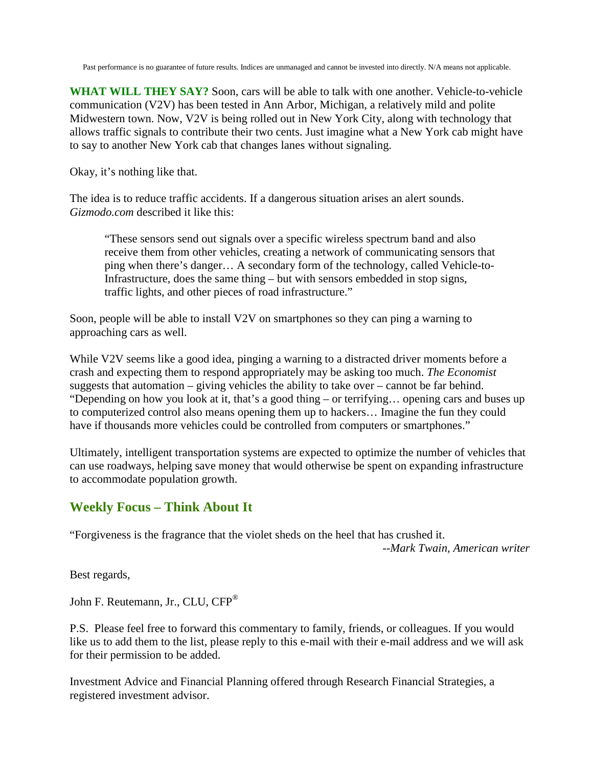Past performance is no guarantee of future results. Indices are unmanaged and cannot be invested into directly. N/A means not applicable.

**WHAT WILL THEY SAY?** Soon, cars will be able to talk with one another. Vehicle-to-vehicle communication (V2V) has been tested in Ann Arbor, Michigan, a relatively mild and polite Midwestern town. Now, V2V is being rolled out in New York City, along with technology that allows traffic signals to contribute their two cents. Just imagine what a New York cab might have to say to another New York cab that changes lanes without signaling.

Okay, it's nothing like that.

The idea is to reduce traffic accidents. If a dangerous situation arises an alert sounds. *Gizmodo.com* described it like this:

"These sensors send out signals over a specific wireless spectrum band and also receive them from other vehicles, creating a network of communicating sensors that ping when there's danger… A secondary form of the technology, called Vehicle-to-Infrastructure, does the same thing – but with sensors embedded in stop signs, traffic lights, and other pieces of road infrastructure."

Soon, people will be able to install V2V on smartphones so they can ping a warning to approaching cars as well.

While V2V seems like a good idea, pinging a warning to a distracted driver moments before a crash and expecting them to respond appropriately may be asking too much. *The Economist* suggests that automation – giving vehicles the ability to take over – cannot be far behind. "Depending on how you look at it, that's a good thing – or terrifying… opening cars and buses up to computerized control also means opening them up to hackers… Imagine the fun they could have if thousands more vehicles could be controlled from computers or smartphones."

Ultimately, intelligent transportation systems are expected to optimize the number of vehicles that can use roadways, helping save money that would otherwise be spent on expanding infrastructure to accommodate population growth.

## **Weekly Focus – Think About It**

"Forgiveness is the fragrance that the violet sheds on the heel that has crushed it.

*--Mark Twain, American writer*

Best regards,

John F. Reutemann, Jr., CLU, CFP®

P.S. Please feel free to forward this commentary to family, friends, or colleagues. If you would like us to add them to the list, please reply to this e-mail with their e-mail address and we will ask for their permission to be added.

Investment Advice and Financial Planning offered through Research Financial Strategies, a registered investment advisor.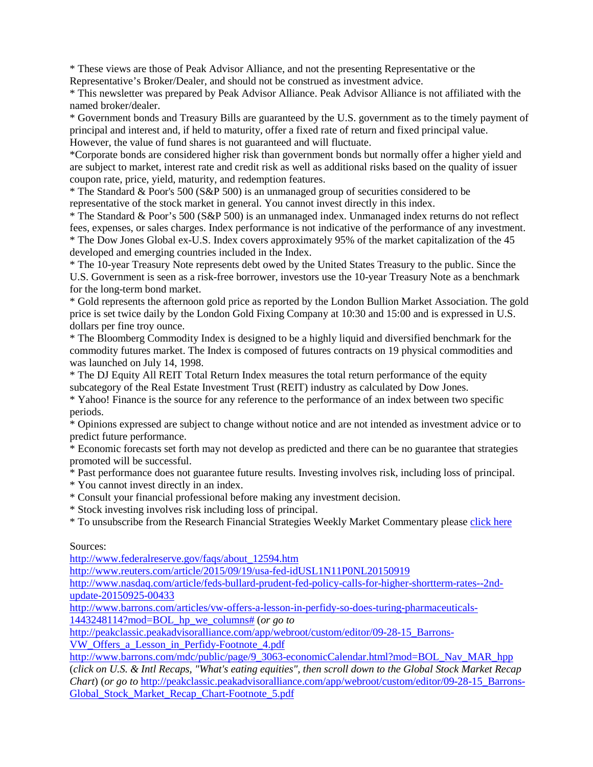\* These views are those of Peak Advisor Alliance, and not the presenting Representative or the Representative's Broker/Dealer, and should not be construed as investment advice.

\* This newsletter was prepared by Peak Advisor Alliance. Peak Advisor Alliance is not affiliated with the named broker/dealer.

\* Government bonds and Treasury Bills are guaranteed by the U.S. government as to the timely payment of principal and interest and, if held to maturity, offer a fixed rate of return and fixed principal value. However, the value of fund shares is not guaranteed and will fluctuate.

\*Corporate bonds are considered higher risk than government bonds but normally offer a higher yield and are subject to market, interest rate and credit risk as well as additional risks based on the quality of issuer coupon rate, price, yield, maturity, and redemption features.

\* The Standard & Poor's 500 (S&P 500) is an unmanaged group of securities considered to be representative of the stock market in general. You cannot invest directly in this index.

\* The Standard & Poor's 500 (S&P 500) is an unmanaged index. Unmanaged index returns do not reflect fees, expenses, or sales charges. Index performance is not indicative of the performance of any investment. \* The Dow Jones Global ex-U.S. Index covers approximately 95% of the market capitalization of the 45 developed and emerging countries included in the Index.

\* The 10-year Treasury Note represents debt owed by the United States Treasury to the public. Since the U.S. Government is seen as a risk-free borrower, investors use the 10-year Treasury Note as a benchmark for the long-term bond market.

\* Gold represents the afternoon gold price as reported by the London Bullion Market Association. The gold price is set twice daily by the London Gold Fixing Company at 10:30 and 15:00 and is expressed in U.S. dollars per fine troy ounce.

\* The Bloomberg Commodity Index is designed to be a highly liquid and diversified benchmark for the commodity futures market. The Index is composed of futures contracts on 19 physical commodities and was launched on July 14, 1998.

\* The DJ Equity All REIT Total Return Index measures the total return performance of the equity subcategory of the Real Estate Investment Trust (REIT) industry as calculated by Dow Jones.

\* Yahoo! Finance is the source for any reference to the performance of an index between two specific periods.

\* Opinions expressed are subject to change without notice and are not intended as investment advice or to predict future performance.

\* Economic forecasts set forth may not develop as predicted and there can be no guarantee that strategies promoted will be successful.

\* Past performance does not guarantee future results. Investing involves risk, including loss of principal.

\* You cannot invest directly in an index.

\* Consult your financial professional before making any investment decision.

\* Stock investing involves risk including loss of principal.

\* To unsubscribe from the Research Financial Strategies Weekly Market Commentary please click here

## Sources:

[http://www.federalreserve.gov/faqs/about\\_12594.htm](http://www.federalreserve.gov/faqs/about_12594.htm)

<http://www.reuters.com/article/2015/09/19/usa-fed-idUSL1N11P0NL20150919>

[http://www.nasdaq.com/article/feds-bullard-prudent-fed-policy-calls-for-higher-shortterm-rates--2nd](http://www.nasdaq.com/article/feds-bullard-prudent-fed-policy-calls-for-higher-shortterm-rates--2nd-update-20150925-00433)[update-20150925-00433](http://www.nasdaq.com/article/feds-bullard-prudent-fed-policy-calls-for-higher-shortterm-rates--2nd-update-20150925-00433)

[http://www.barrons.com/articles/vw-offers-a-lesson-in-perfidy-so-does-turing-pharmaceuticals-](http://www.barrons.com/articles/vw-offers-a-lesson-in-perfidy-so-does-turing-pharmaceuticals-1443248114?mod=BOL_hp_we_columns)[1443248114?mod=BOL\\_hp\\_we\\_columns#](http://www.barrons.com/articles/vw-offers-a-lesson-in-perfidy-so-does-turing-pharmaceuticals-1443248114?mod=BOL_hp_we_columns) (*or go to*

[http://peakclassic.peakadvisoralliance.com/app/webroot/custom/editor/09-28-15\\_Barrons-](http://peakclassic.peakadvisoralliance.com/app/webroot/custom/editor/09-28-15_Barrons-VW_Offers_a_Lesson_in_Perfidy-Footnote_4.pdf)

[VW\\_Offers\\_a\\_Lesson\\_in\\_Perfidy-Footnote\\_4.pdf](http://peakclassic.peakadvisoralliance.com/app/webroot/custom/editor/09-28-15_Barrons-VW_Offers_a_Lesson_in_Perfidy-Footnote_4.pdf)

[http://www.barrons.com/mdc/public/page/9\\_3063-economicCalendar.html?mod=BOL\\_Nav\\_MAR\\_hpp](http://www.barrons.com/mdc/public/page/9_3063-economicCalendar.html?mod=BOL_Nav_MAR_hpp) (*click on U.S. & Intl Recaps, "What's eating equities", then scroll down to the Global Stock Market Recap Chart*) (*or go to* [http://peakclassic.peakadvisoralliance.com/app/webroot/custom/editor/09-28-15\\_Barrons-](http://peakclassic.peakadvisoralliance.com/app/webroot/custom/editor/09-28-15_Barrons-Global_Stock_Market_Recap_Chart-Footnote_5.pdf)[Global\\_Stock\\_Market\\_Recap\\_Chart-Footnote\\_5.pdf](http://peakclassic.peakadvisoralliance.com/app/webroot/custom/editor/09-28-15_Barrons-Global_Stock_Market_Recap_Chart-Footnote_5.pdf)